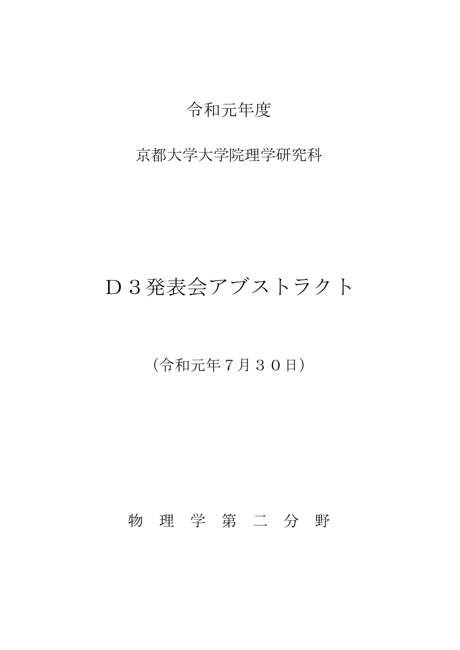# 令和元年度

#### 京都大学大学院理学研究科

# D3発表会アブストラクト

## (令和元年7月30日)

## 物 理 学 第 二 分 野